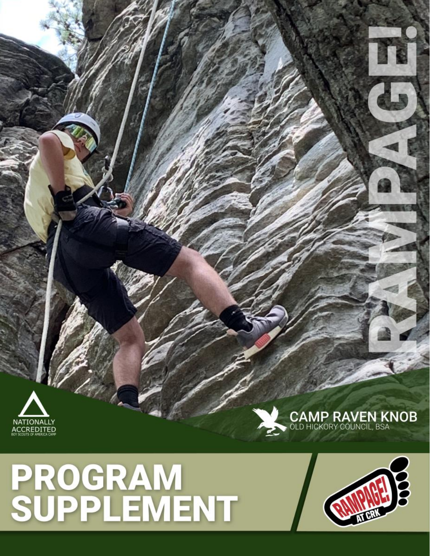# **PROGRAM<br>SUPPLEMENT**





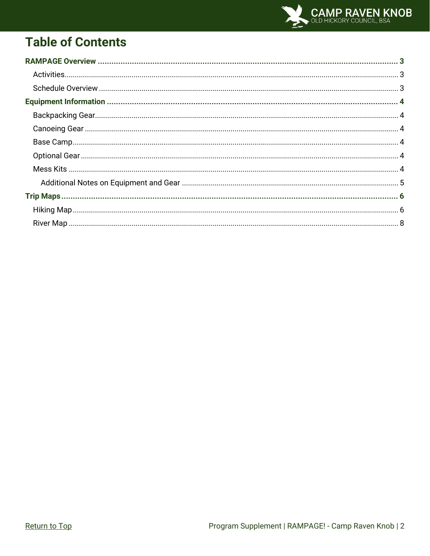

# <span id="page-1-0"></span>**Table of Contents**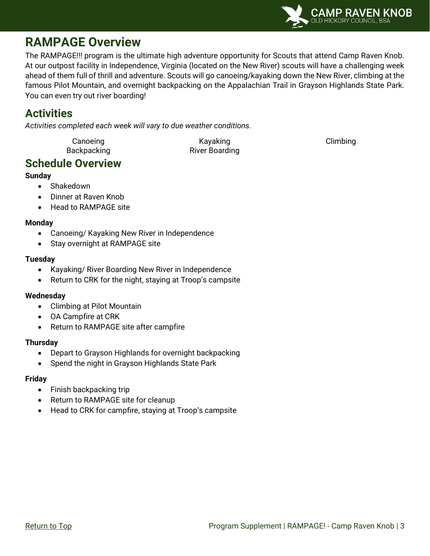

## <span id="page-2-0"></span>**RAMPAGE Overview**

The RAMPAGE!!! program is the ultimate high adventure opportunity for Scouts that attend Camp Raven Knob. At our outpost facility in Independence, Virginia (located on the New River) scouts will have a challenging week ahead of them full of thrill and adventure. Scouts will go canoeing/kayaking down the New River, climbing at the famous Pilot Mountain, and overnight backpacking on the Appalachian Trail in Grayson Highlands State Park. You can even try out river boarding!

## <span id="page-2-1"></span>**Activities**

*Activities completed each week will vary to due weather conditions.*

Canoeing **Canoeing** Canoeing Climbing **Canoeing** Climbing Backpacking **River Boarding** 

## <span id="page-2-2"></span>**Schedule Overview**

#### **Sunday**

- Shakedown
- Dinner at Raven Knob
- Head to RAMPAGE site

#### **Monday**

- Canoeing/ Kayaking New River in Independence
- Stay overnight at RAMPAGE site

#### **Tuesday**

- Kayaking/ River Boarding New River in Independence
- Return to CRK for the night, staying at Troop's campsite

#### **Wednesday**

- Climbing at Pilot Mountain
- OA Campfire at CRK
- Return to RAMPAGE site after campfire

#### **Thursday**

- Depart to Grayson Highlands for overnight backpacking
- Spend the night in Grayson Highlands State Park

#### **Friday**

- Finish backpacking trip
- Return to RAMPAGE site for cleanup
- Head to CRK for campfire, staying at Troop's campsite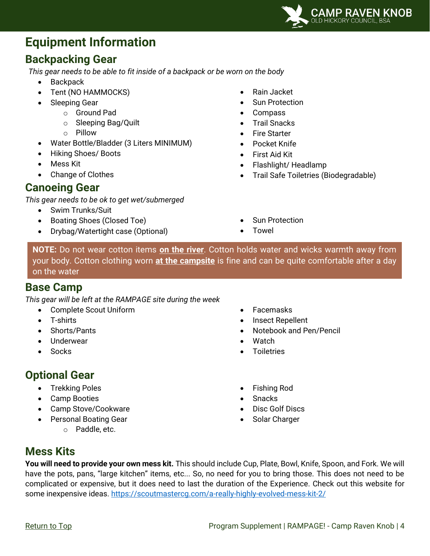

## <span id="page-3-0"></span>**Equipment Information**

## <span id="page-3-1"></span>**Backpacking Gear**

*This gear needs to be able to fit inside of a backpack or be worn on the body*

- **Backpack**
- Tent (NO HAMMOCKS)
- Sleeping Gear
	- o Ground Pad
		- o Sleeping Bag/Quilt
		- o Pillow
- Water Bottle/Bladder (3 Liters MINIMUM)
- Hiking Shoes/ Boots
- Mess Kit
- Change of Clothes

## <span id="page-3-2"></span>**Canoeing Gear**

*This gear needs to be ok to get wet/submerged*

- Swim Trunks/Suit
- Boating Shoes (Closed Toe)
- Drybag/Watertight case (Optional)
- Rain Jacket
- Sun Protection
- Compass
- Trail Snacks
- **Fire Starter**
- Pocket Knife
- First Aid Kit
- Flashlight/ Headlamp
- Trail Safe Toiletries (Biodegradable)
- Sun Protection
	- Towel

**NOTE:** Do not wear cotton items **on the river**. Cotton holds water and wicks warmth away from your body. Cotton clothing worn **at the campsite** is fine and can be quite comfortable after a day on the water

## <span id="page-3-3"></span>**Base Camp**

*This gear will be left at the RAMPAGE site during the week*

- Complete Scout Uniform
- T-shirts
- Shorts/Pants
- Underwear
- **Socks**

## <span id="page-3-4"></span>**Optional Gear**

- Trekking Poles
- Camp Booties
- Camp Stove/Cookware
- Personal Boating Gear
	- o Paddle, etc.
- Facemasks
- Insect Repellent
- Notebook and Pen/Pencil
- **Watch**
- **Toiletries**
- Fishing Rod
- Snacks
- Disc Golf Discs
- Solar Charger

## <span id="page-3-5"></span>**Mess Kits**

**You will need to provide your own mess kit.** This should include Cup, Plate, Bowl, Knife, Spoon, and Fork. We will have the pots, pans, "large kitchen" items, etc... So, no need for you to bring those. This does not need to be complicated or expensive, but it does need to last the duration of the Experience. Check out this website for some inexpensive ideas.<https://scoutmastercg.com/a-really-highly-evolved-mess-kit-2/>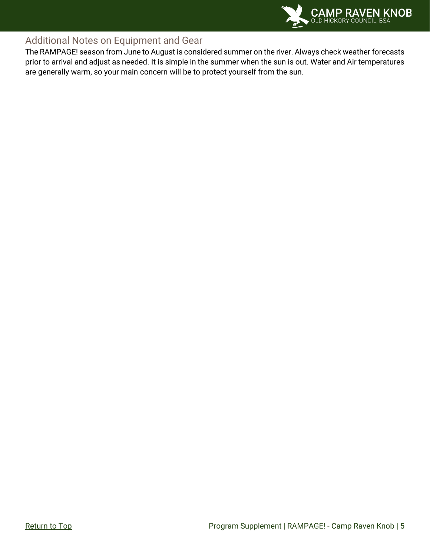

### <span id="page-4-0"></span>Additional Notes on Equipment and Gear

The RAMPAGE! season from June to August is considered summer on the river. Always check weather forecasts prior to arrival and adjust as needed. It is simple in the summer when the sun is out. Water and Air temperatures are generally warm, so your main concern will be to protect yourself from the sun.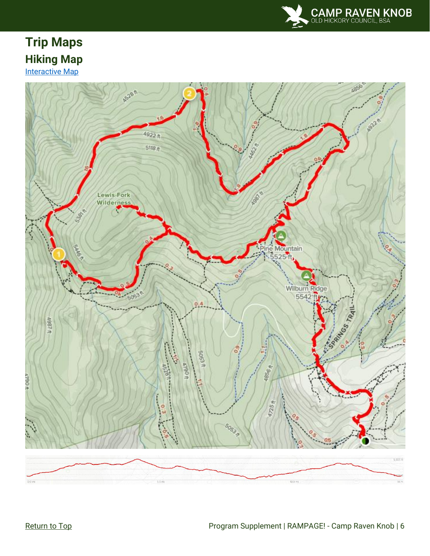

## <span id="page-5-1"></span><span id="page-5-0"></span>**Trip Maps Hiking Map [Interactive Map](https://www.alltrails.com/explore/trail/us/virginia/appalachian-trail-to-mt-rogers-trail?mobileMap=false&ref=sidebar-static-map&ref=sidebar-view-full-map)**

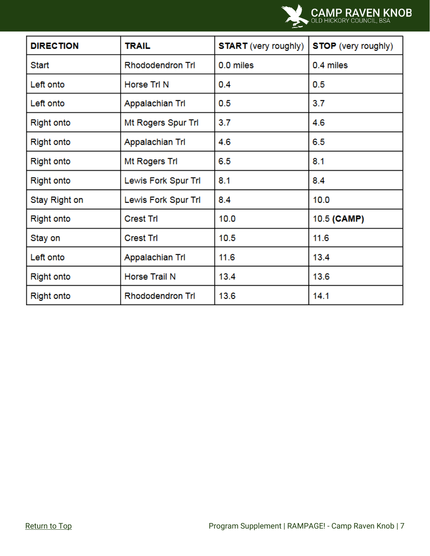

| <b>DIRECTION</b>  | <b>TRAIL</b>            | <b>START</b> (very roughly) | <b>STOP</b> (very roughly) |
|-------------------|-------------------------|-----------------------------|----------------------------|
| <b>Start</b>      | <b>Rhododendron Trl</b> | 0.0 miles                   | 0.4 miles                  |
| Left onto         | Horse Trl N             | 0.4                         | 0.5                        |
| Left onto         | Appalachian Trl         | 0.5                         | 3.7                        |
| <b>Right onto</b> | Mt Rogers Spur Trl      | 3.7                         | 4.6                        |
| <b>Right onto</b> | Appalachian Trl         | 4.6                         | 6.5                        |
| <b>Right onto</b> | Mt Rogers Tri           | 6.5                         | 8.1                        |
| <b>Right onto</b> | Lewis Fork Spur Trl     | 8.1                         | 8.4                        |
| Stay Right on     | Lewis Fork Spur Trl     | 8.4                         | 10.0                       |
| <b>Right onto</b> | <b>Crest Trl</b>        | 10.0                        | 10.5 (CAMP)                |
| Stay on           | <b>Crest Trl</b>        | 10.5                        | 11.6                       |
| Left onto         | Appalachian Trl         | 11.6                        | 13.4                       |
| <b>Right onto</b> | Horse Trail N           | 13.4                        | 13.6                       |
| <b>Right onto</b> | <b>Rhododendron Trl</b> | 13.6                        | 14.1                       |